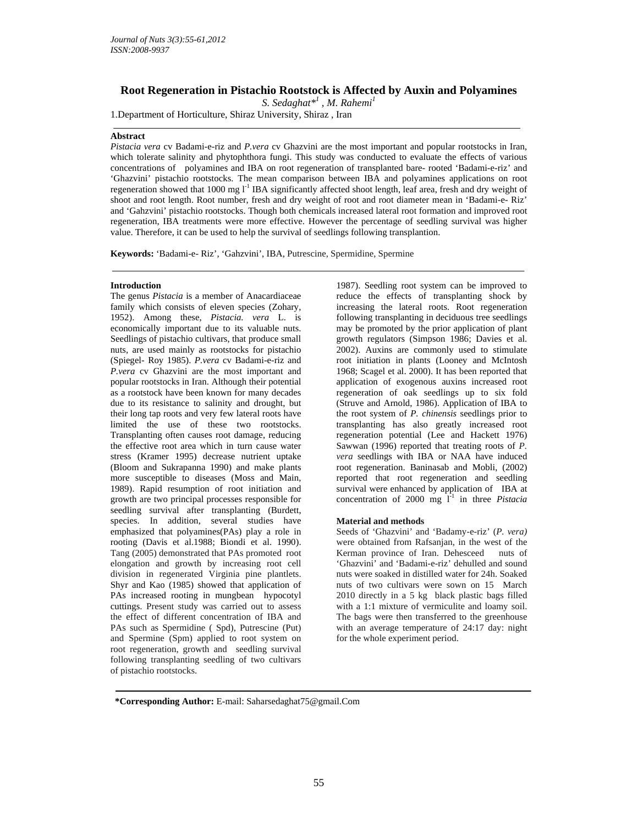# **Root Regeneration in Pistachio Rootstock is Affected by Auxin and Polyamines**

*S. Sedaghat\*1 , M. Rahemi<sup>1</sup>*

1.Department of Horticulture, Shiraz University, Shiraz , Iran

## **Abstract**

*Pistacia vera* cv Badami-e-riz and *P.vera* cv Ghazvini are the most important and popular rootstocks in Iran, which tolerate salinity and phytophthora fungi. This study was conducted to evaluate the effects of various concentrations of polyamines and IBA on root regeneration of transplanted bare- rooted 'Badami-e-riz' and 'Ghazvini' pistachio rootstocks. The mean comparison between IBA and polyamines applications on root regeneration showed that 1000 mg  $I<sup>-1</sup>$  IBA significantly affected shoot length, leaf area, fresh and dry weight of shoot and root length. Root number, fresh and dry weight of root and root diameter mean in 'Badami-e- Riz' and 'Gahzvini' pistachio rootstocks. Though both chemicals increased lateral root formation and improved root regeneration, IBA treatments were more effective. However the percentage of seedling survival was higher value. Therefore, it can be used to help the survival of seedlings following transplantion.

**Keywords:** 'Badami-e- Riz', 'Gahzvini', IBA, Putrescine, Spermidine, Spermine

#### **Introduction**

The genus *Pistacia* is a member of Anacardiaceae family which consists of eleven species (Zohary, 1952). Among these, *Pistacia. vera* L. is economically important due to its valuable nuts. Seedlings of pistachio cultivars, that produce small nuts, are used mainly as rootstocks for pistachio (Spiegel- Roy 1985). *P.vera* cv Badami-e-riz and *P.vera* cv Ghazvini are the most important and popular rootstocks in Iran. Although their potential as a rootstock have been known for many decades due to its resistance to salinity and drought, but their long tap roots and very few lateral roots have limited the use of these two rootstocks. Transplanting often causes root damage, reducing the effective root area which in turn cause water stress (Kramer 1995) decrease nutrient uptake (Bloom and Sukrapanna 1990) and make plants more susceptible to diseases (Moss and Main, 1989). Rapid resumption of root initiation and growth are two principal processes responsible for seedling survival after transplanting (Burdett, species. In addition, several studies have emphasized that polyamines(PAs) play a role in rooting (Davis et al.1988; Biondi et al. 1990). Tang (2005) demonstrated that PAs promoted root elongation and growth by increasing root cell division in regenerated Virginia pine plantlets. Shyr and Kao (1985) showed that application of PAs increased rooting in mungbean hypocotyl cuttings. Present study was carried out to assess the effect of different concentration of IBA and PAs such as Spermidine ( Spd), Putrescine (Put) and Spermine (Spm) applied to root system on root regeneration, growth and seedling survival following transplanting seedling of two cultivars of pistachio rootstocks.

1987). Seedling root system can be improved to reduce the effects of transplanting shock by increasing the lateral roots. Root regeneration following transplanting in deciduous tree seedlings may be promoted by the prior application of plant growth regulators (Simpson 1986; Davies et al. 2002). Auxins are commonly used to stimulate root initiation in plants (Looney and McIntosh 1968; Scagel et al. 2000). It has been reported that application of exogenous auxins increased root regeneration of oak seedlings up to six fold (Struve and Arnold, 1986). Application of IBA to the root system of *P. chinensis* seedlings prior to transplanting has also greatly increased root regeneration potential (Lee and Hackett 1976) Sawwan (1996) reported that treating roots of *P. vera* seedlings with IBA or NAA have induced root regeneration. Baninasab and Mobli, (2002) reported that root regeneration and seedling survival were enhanced by application of IBA at concentration of 2000 mg  $1^{-1}$  in three *Pistacia* 

### **Material and methods**

Seeds of 'Ghazvini' and 'Badamy-e-riz' (*P. vera)*  were obtained from Rafsanjan, in the west of the Kerman province of Iran. Dehesceed nuts of 'Ghazvini' and 'Badami-e-riz' dehulled and sound nuts were soaked in distilled water for 24h. Soaked nuts of two cultivars were sown on 15 March 2010 directly in a 5 kg black plastic bags filled with a 1:1 mixture of vermiculite and loamy soil. The bags were then transferred to the greenhouse with an average temperature of 24:17 day: night for the whole experiment period.

 **\*Corresponding Author:** E-mail: Saharsedaghat75@gmail.Com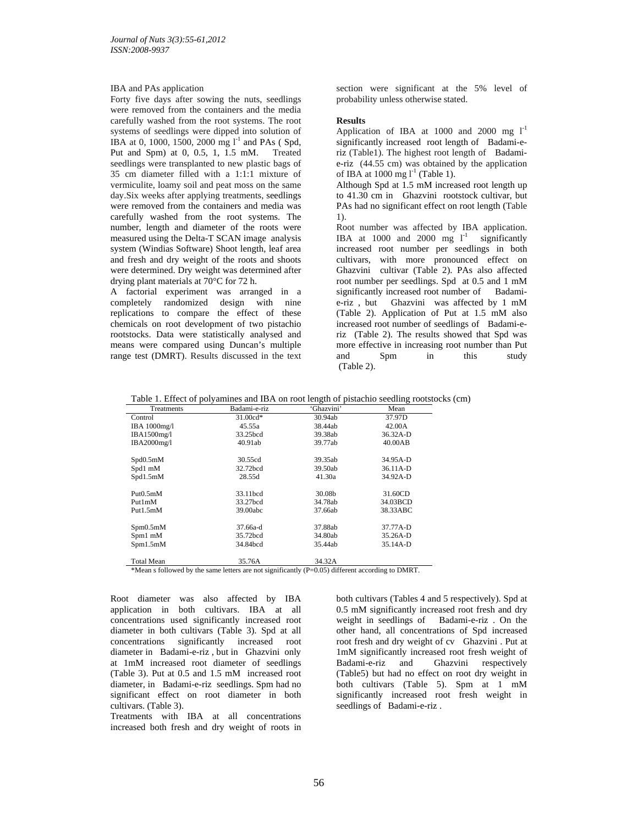### IBA and PAs application

Forty five days after sowing the nuts, seedlings were removed from the containers and the media carefully washed from the root systems. The root systems of seedlings were dipped into solution of IBA at 0, 1000, 1500, 2000 mg  $1^{-1}$  and PAs (Spd, Put and Spm) at 0, 0.5, 1, 1.5 mM. Treated seedlings were transplanted to new plastic bags of 35 cm diameter filled with a 1:1:1 mixture of vermiculite, loamy soil and peat moss on the same day.Six weeks after applying treatments, seedlings were removed from the containers and media was carefully washed from the root systems. The number, length and diameter of the roots were measured using the Delta-T SCAN image analysis system (Windias Software) Shoot length, leaf area and fresh and dry weight of the roots and shoots were determined. Dry weight was determined after drying plant materials at 70°C for 72 h.

A factorial experiment was arranged in a completely randomized design with nine replications to compare the effect of these chemicals on root development of two pistachio rootstocks. Data were statistically analysed and means were compared using Duncan's multiple range test (DMRT). Results discussed in the text section were significant at the 5% level of probability unless otherwise stated.

## **Results**

Application of IBA at 1000 and 2000 mg  $1^{-1}$ significantly increased root length of Badami-eriz (Table1). The highest root length of Badamie-riz (44.55 cm) was obtained by the application of IBA at 1000 mg  $l^1$  (Table 1).

Although Spd at 1.5 mM increased root length up to 41.30 cm in Ghazvini rootstock cultivar, but PAs had no significant effect on root length (Table 1).

Root number was affected by IBA application. IBA at 1000 and 2000 mg  $I^1$  significantly increased root number per seedlings in both cultivars, with more pronounced effect on Ghazvini cultivar (Table 2). PAs also affected root number per seedlings. Spd at 0.5 and 1 mM significantly increased root number of Badamie-riz , but Ghazvini was affected by 1 mM (Table 2). Application of Put at 1.5 mM also increased root number of seedlings of Badami-eriz (Table 2). The results showed that Spd was more effective in increasing root number than Put and Spm in this study (Table 2).

Table 1. Effect of polyamines and IBA on root length of pistachio seedling rootstocks (cm)

| Treatments        | Badami-e-riz | 'Ghazvini' | Mean     |
|-------------------|--------------|------------|----------|
| Control           | $31.00cd*$   | 30.94ab    | 37.97D   |
| IBA 1000mg/l      | 45.55a       | 38.44ab    | 42.00A   |
| IBA1500mg/l       | 33.25bcd     | 39.38ab    | 36.32A-D |
| IBA2000mg/l       | 40.91ab      | 39.77ab    | 40.00AB  |
| Spd0.5mM          | 30.55cd      | 39.35ab    | 34.95A-D |
| Spd1 mM           | 32.72bcd     | 39.50ab    | 36.11A-D |
| Spd1.5mM          | 28.55d       | 41.30a     | 34.92A-D |
| Put0.5mM          | 33.11bcd     | 30.08b     | 31.60CD  |
| Put1mM            | 33.27bcd     | 34.78ab    | 34.03BCD |
| Put1.5mM          | 39.00abc     | 37.66ab    | 38.33ABC |
| Spm0.5mM          | 37.66a-d     | 37.88ab    | 37.77A-D |
| Spm1 mM           | 35.72bcd     | 34.80ab    | 35.26A-D |
| Spm1.5mM          | 34.84bcd     | 35.44ab    | 35.14A-D |
| <b>Total Mean</b> | 35.76A       | 34.32A     |          |

\*Mean s followed by the same letters are not significantly (P=0.05) different according to DMRT.

Root diameter was also affected by IBA application in both cultivars. IBA at all concentrations used significantly increased root diameter in both cultivars (Table 3). Spd at all concentrations significantly increased root diameter in Badami-e-riz , but in Ghazvini only at 1mM increased root diameter of seedlings (Table 3). Put at 0.5 and 1.5 mM increased root diameter, in Badami-e-riz seedlings. Spm had no significant effect on root diameter in both cultivars. (Table 3).

Treatments with IBA at all concentrations increased both fresh and dry weight of roots in both cultivars (Tables 4 and 5 respectively). Spd at 0.5 mM significantly increased root fresh and dry weight in seedlings of Badami-e-riz . On the other hand, all concentrations of Spd increased root fresh and dry weight of cv Ghazvini . Put at 1mM significantly increased root fresh weight of<br>Badami-e-riz and Ghazvini respectively Ghazvini respectively (Table5) but had no effect on root dry weight in both cultivars (Table 5). Spm at 1 mM significantly increased root fresh weight in seedlings of Badami-e-riz .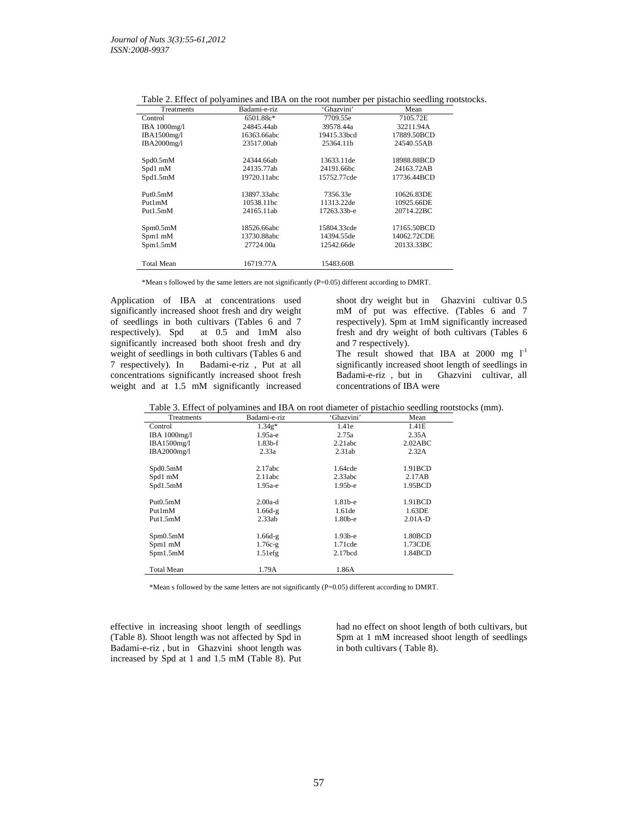|                   | Tuble 2. Effect of poryunnies and IBTY on the Tool number per pistuemo securing Toolstocks. |             |             |
|-------------------|---------------------------------------------------------------------------------------------|-------------|-------------|
| Treatments        | Badami-e-riz                                                                                | 'Ghazvini'  | Mean        |
| Control           | 6501.88c*                                                                                   | 7709.55e    | 7105.72E    |
| IBA 1000mg/l      | 24845.44ab                                                                                  | 39578.44a   | 32211.94A   |
| IBA1500mg/l       | 16363.66abc                                                                                 | 19415.33bcd | 17889.50BCD |
| IBA2000mg/l       | 23517.00ab                                                                                  | 25364.11b   | 24540.55AB  |
| Spd0.5mM          | 24344.66ab                                                                                  | 13633.11de  | 18988.88BCD |
| Spd1 mM           | 24135.77ab                                                                                  | 24191.66bc  | 24163.72AB  |
| Spd1.5mM          | 19720.11abc                                                                                 | 15752.77cde | 17736.44BCD |
| Put 0.5 mM        | 13897.33abc                                                                                 | 7356.33e    | 10626.83DE  |
| Put1mM            | 10538.11bc                                                                                  | 11313.22de  | 10925.66DE  |
| Put1.5mM          | 24165.11ab                                                                                  | 17263.33b-e | 20714.22BC  |
| Spm0.5mM          | 18526.66abc                                                                                 | 15804.33cde | 17165.50BCD |
| Spm1 mM           | 13730.88abc                                                                                 | 14394.55de  | 14062.72CDE |
| Spm1.5mM          | 27724.00a                                                                                   | 12542.66de  | 20133.33BC  |
| <b>Total Mean</b> | 16719.77A                                                                                   | 15483.60B   |             |

Table 2. Effect of polyamines and IBA on the root number per pistachio seedling rootstocks.

\*Mean s followed by the same letters are not significantly (P=0.05) different according to DMRT.

Application of IBA at concentrations used significantly increased shoot fresh and dry weight of seedlings in both cultivars (Tables 6 and 7 respectively). Spd at 0.5 and 1mM also significantly increased both shoot fresh and dry weight of seedlings in both cultivars (Tables 6 and 7 respectively). In Badami-e-riz , Put at all concentrations significantly increased shoot fresh weight and at 1.5 mM significantly increased

shoot dry weight but in Ghazvini cultivar 0.5 mM of put was effective. (Tables 6 and 7 respectively). Spm at 1mM significantly increased fresh and dry weight of both cultivars (Tables 6 and 7 respectively).

The result showed that IBA at  $2000$  mg  $1^{-1}$ significantly increased shoot length of seedlings in Badami-e-riz , but in Ghazvini cultivar, all concentrations of IBA were

|  | Table 3. Effect of polyamines and IBA on root diameter of pistachio seedling rootstocks (mm). |  |  |  |
|--|-----------------------------------------------------------------------------------------------|--|--|--|
|--|-----------------------------------------------------------------------------------------------|--|--|--|

| Treatments        | Badami-e-riz | 'Ghazvini'          | Mean      |
|-------------------|--------------|---------------------|-----------|
| Control           | $1.34g*$     | 1.41e               | 1.41E     |
| IBA 1000mg/l      | $1.95a-e$    | 2.75a               | 2.35A     |
| IBA1500mg/l       | $1.83b-f$    | 2.21abc             | 2.02ABC   |
| IBA2000mg/l       | 2.33a        | 2.31ab              | 2.32A     |
|                   |              |                     |           |
| Spd0.5mM          | 2.17abc      | 1.64cde             | 1.91BCD   |
| Spd1 mM           | 2.11abc      | 2.33abc             | 2.17AB    |
| Spd1.5mM          | $1.95a-e$    | $1.95b-e$           | 1.95BCD   |
|                   |              |                     |           |
| Put0.5mM          | $2.00a-d$    | $1.81b-e$           | 1.91BCD   |
| Put1mM            | $1.66d-g$    | 1.61de              | 1.63DE    |
| Put1.5mM          | 2.33ab       | $1.80b-e$           | $2.01A-D$ |
|                   |              |                     |           |
| Spm0.5mM          | $1.66d-g$    | $1.93b-e$           | 1.80BCD   |
| Spm1 mM           | $1.76c-g$    | $1.71$ cde          | 1.73CDE   |
| Spm1.5mM          | $1.51$ efg   | 2.17 <sub>bcd</sub> | 1.84BCD   |
|                   |              |                     |           |
| <b>Total Mean</b> | 1.79A        | 1.86A               |           |

\*Mean s followed by the same letters are not significantly (P=0.05) different according to DMRT.

effective in increasing shoot length of seedlings (Table 8). Shoot length was not affected by Spd in Badami-e-riz , but in Ghazvini shoot length was increased by Spd at 1 and 1.5 mM (Table 8). Put had no effect on shoot length of both cultivars, but Spm at 1 mM increased shoot length of seedlings in both cultivars ( Table 8).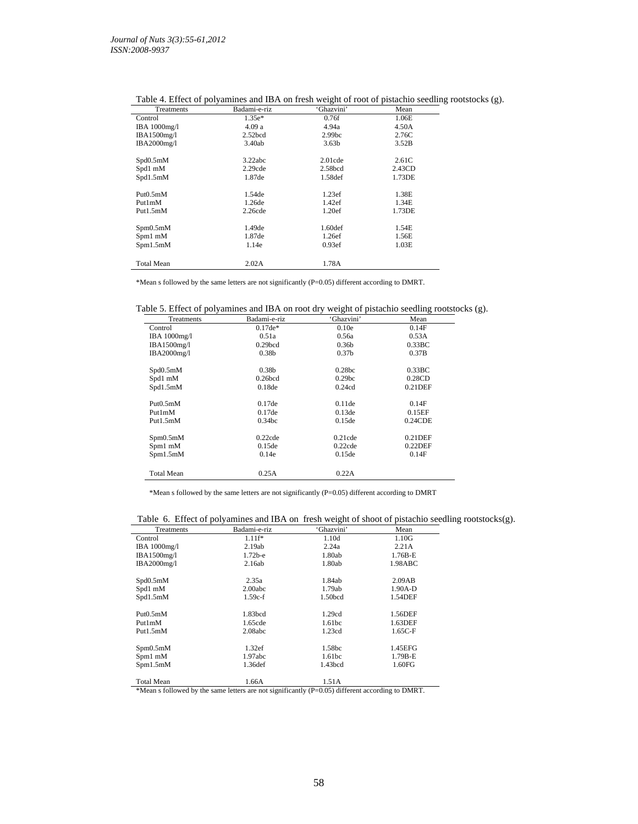| Treatments        | Badami-e-riz        | o<br>'Ghazvini'     | Mean   | c |
|-------------------|---------------------|---------------------|--------|---|
| Control           | $1.35e*$            | 0.76f               | 1.06E  |   |
| IBA $1000$ mg/l   | 4.09 a              | 4.94a               | 4.50A  |   |
| IBA1500mg/l       | 2.52 <sub>bcd</sub> | 2.99 <sub>bc</sub>  | 2.76C  |   |
| IBA2000mg/l       | 3.40ab              | 3.63 <sub>b</sub>   | 3.52B  |   |
| Spd0.5mM          | 3.22abc             | $2.01$ cde          | 2.61C  |   |
| Spd1 mM           | 2.29cde             | 2.58 <sub>bcd</sub> | 2.43CD |   |
| Spd1.5mM          | 1.87de              | 1.58def             | 1.73DE |   |
| Put0.5mM          | 1.54de              | 1.23ef              | 1.38E  |   |
| Put1mM            | 1.26de              | 1.42ef              | 1.34E  |   |
| Put1.5mM          | 2.26cde             | 1.20ef              | 1.73DE |   |
| Spm0.5mM          | 1.49de              | 1.60 <sub>def</sub> | 1.54E  |   |
| Spm1 mM           | 1.87de              | 1.26ef              | 1.56E  |   |
| Spm1.5mM          | 1.14e               | 0.93ef              | 1.03E  |   |
| <b>Total Mean</b> | 2.02A               | 1.78A               |        |   |

Table 4. Effect of polyamines and IBA on fresh weight of root of pistachio seedling rootstocks (g).

\*Mean s followed by the same letters are not significantly (P=0.05) different according to DMRT.

Table 5. Effect of polyamines and IBA on root dry weight of pistachio seedling rootstocks (g).

| Treatments        | Badami-e-riz        | 'Ghazvini'         | Mean            |  |
|-------------------|---------------------|--------------------|-----------------|--|
| Control           | $0.17de*$           | 0.10e              | 0.14F           |  |
| IBA 1000mg/l      | 0.51a               | 0.56a              | 0.53A           |  |
| IBA1500mg/l       | 0.29 <sub>bcd</sub> | 0.36 <sub>b</sub>  | $0.33\text{BC}$ |  |
| IBA2000mg/l       | 0.38 <sub>b</sub>   | 0.37 <sub>b</sub>  | 0.37B           |  |
| Spd0.5mM          | 0.38 <sub>b</sub>   | 0.28 <sub>bc</sub> | $0.33\text{BC}$ |  |
| Spd1 mM           | $0.26$ bcd          | 0.29 <sub>bc</sub> | 0.28CD          |  |
| Spd1.5mM          | 0.18de              | 0.24cd             | $0.21$ DEF      |  |
| Put0.5mM          | 0.17de              | $0.11$ de          | 0.14F           |  |
| Put1mM            | 0.17de              | 0.13de             | 0.15EF          |  |
| Put1.5mM          | 0.34bc              | 0.15de             | 0.24CDE         |  |
| Spm0.5mM          | 0.22cde             | $0.21$ cde         | $0.21$ DEF      |  |
| Spm1 mM           | 0.15de              | 0.22cde            | $0.22$ DEF      |  |
| Spm1.5mM          | 0.14e               | 0.15de             | 0.14F           |  |
| <b>Total Mean</b> | 0.25A               | 0.22A              |                 |  |

\*Mean s followed by the same letters are not significantly (P=0.05) different according to DMRT

Table 6. Effect of polyamines and IBA on fresh weight of shoot of pistachio seedling rootstocks(g).

| Treatments                                                                                                                                                                                                                                                                                                                                                                                                                                                               | Badami-e-riz | 'Ghazvini' | Mean      |  |
|--------------------------------------------------------------------------------------------------------------------------------------------------------------------------------------------------------------------------------------------------------------------------------------------------------------------------------------------------------------------------------------------------------------------------------------------------------------------------|--------------|------------|-----------|--|
| Control                                                                                                                                                                                                                                                                                                                                                                                                                                                                  | $1.11f*$     | 1.10d      | 1.10G     |  |
| IBA 1000mg/l                                                                                                                                                                                                                                                                                                                                                                                                                                                             | 2.19ab       | 2.24a      | 2.21A     |  |
| IBA1500mg/l                                                                                                                                                                                                                                                                                                                                                                                                                                                              | $1.72b-e$    | 1.80ab     | $1.76B-E$ |  |
| IBA2000mg/l                                                                                                                                                                                                                                                                                                                                                                                                                                                              | 2.16ab       | 1.80ab     | 1.98ABC   |  |
| Spd0.5mM                                                                                                                                                                                                                                                                                                                                                                                                                                                                 | 2.35a        | 1.84ab     | 2.09AB    |  |
| Spd1 mM                                                                                                                                                                                                                                                                                                                                                                                                                                                                  | 2.00abc      | 1.79ab     | $1.90A-D$ |  |
| Spd1.5mM                                                                                                                                                                                                                                                                                                                                                                                                                                                                 | $1.59c-f$    | 1.50bcd    | 1.54DEF   |  |
| Put0.5mM                                                                                                                                                                                                                                                                                                                                                                                                                                                                 | 1.83bcd      | 1.29cd     | 1.56DEF   |  |
| Put1mM                                                                                                                                                                                                                                                                                                                                                                                                                                                                   | 1.65cde      | 1.61bc     | 1.63DEF   |  |
| Put1.5mM                                                                                                                                                                                                                                                                                                                                                                                                                                                                 | 2.08abc      | 1.23cd     | $1.65C-F$ |  |
| Spm0.5mM                                                                                                                                                                                                                                                                                                                                                                                                                                                                 | 1.32ef       | 1.58bc     | 1.45EFG   |  |
| Spm1 mM                                                                                                                                                                                                                                                                                                                                                                                                                                                                  | 1.97abc      | 1.61bc     | 1.79B-E   |  |
| Spm1.5mM                                                                                                                                                                                                                                                                                                                                                                                                                                                                 | 1.36def      | 1.43bcd    | 1.60FG    |  |
| Total Mean<br>$\mathcal{M} = \mathcal{C} \mathcal{H} = \mathcal{H} \mathcal{A} = \mathcal{A} \mathcal{M} = \mathcal{A} \mathcal{A} = \mathcal{A} \mathcal{A} = \mathcal{A} \mathcal{A} \mathcal{A} = \mathcal{A} \mathcal{A} \mathcal{A} \mathcal{A} = \mathcal{A} \mathcal{A} \mathcal{A} \mathcal{A} \mathcal{A} = \mathcal{A} \mathcal{A} \mathcal{A} \mathcal{A} \mathcal{A} = \mathcal{A} \mathcal{A} \mathcal{A} \mathcal{A} \mathcal{A} = \mathcal{A} \mathcal{A$ | 1.66A        | 1.51A      |           |  |

\*Mean s followed by the same letters are not significantly (P=0.05) different according to DMRT.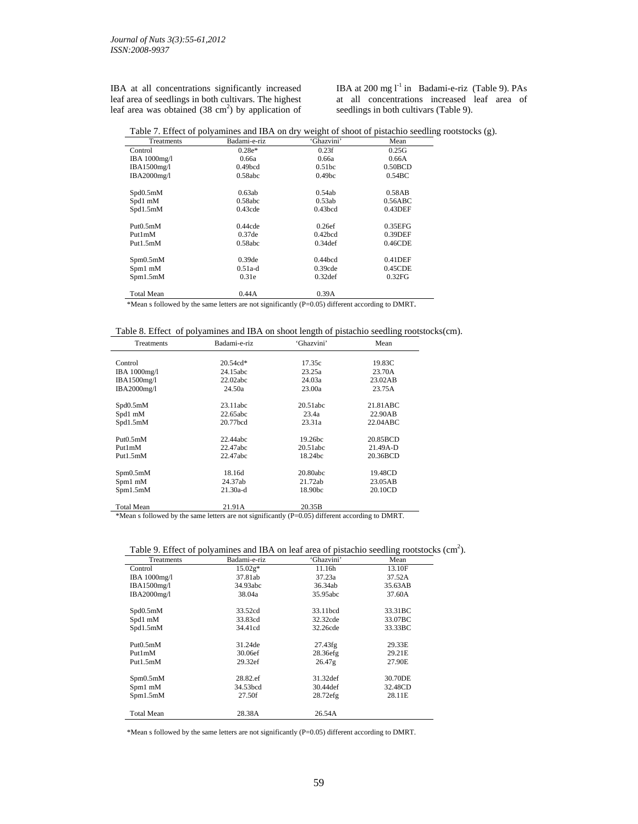IBA at all concentrations significantly increased leaf area of seedlings in both cultivars. The highest leaf area was obtained  $(38 \text{ cm}^2)$  by application of IBA at 200 mg  $I<sup>-1</sup>$  in Badami-e-riz (Table 9). PAs at all concentrations increased leaf area of seedlings in both cultivars (Table 9).

| Table 7. Effect of polyamines and IBA on dry weight of shoot of pistachio seedling rootstocks (g). |  |  |  |
|----------------------------------------------------------------------------------------------------|--|--|--|
|                                                                                                    |  |  |  |

| Treatments          | Badami-e-riz        | 'Ghazvini'          | Mean       |
|---------------------|---------------------|---------------------|------------|
| Control             | $0.28e*$            | 0.23f               | 0.25G      |
| <b>IBA</b> 1000mg/l | 0.66a               | 0.66a               | 0.66A      |
| IBA1500mg/l         | 0.49 <sub>bcd</sub> | 0.51 <sub>bc</sub>  | 0.50BCD    |
| IBA2000mg/l         | 0.58abc             | 0.49 <sub>bc</sub>  | 0.54BC     |
| Spd0.5mM            | 0.63ab              | 0.54ab              | 0.58AB     |
| Spd1 mM             | 0.58abc             | 0.53ab              | 0.56ABC    |
| Spd1.5mM            | $0.43$ cde          | 0.43 <sub>bcd</sub> | $0.43$ DEF |
| Put0.5mM            | 0.44cde             | 0.26ef              | 0.35EFG    |
| Put1mM              | 0.37de              | $0.42$ bcd          | 0.39DEF    |
| Put1.5mM            | 0.58abc             | $0.34$ def          | 0.46CDE    |
| Spm0.5mM            | 0.39 <sub>de</sub>  | $0.44$ bcd          | $0.41$ DEF |
| Spm1 mM             | $0.51a-d$           | 0.39cde             | $0.45$ CDE |
| Spm1.5mM            | 0.31e               | 0.32 <sub>def</sub> | 0.32FG     |
| <b>Total Mean</b>   | 0.44A               | 0.39A               |            |

\*Mean s followed by the same letters are not significantly (P=0.05) different according to DMRT.

|  |  | Table 8. Effect of polyamines and IBA on shoot length of pistachio seedling rootstocks(cm). |  |
|--|--|---------------------------------------------------------------------------------------------|--|
|  |  |                                                                                             |  |

| Badami-e-riz | 'Ghazvini'                                                      | Mean                                                         |
|--------------|-----------------------------------------------------------------|--------------------------------------------------------------|
|              |                                                                 |                                                              |
| $20.54cd*$   | 17.35c                                                          | 19.83C                                                       |
| 24.15abc     | 23.25a                                                          | 23.70A                                                       |
| 22.02abc     | 24.03a                                                          | 23.02AB                                                      |
| 24.50a       | 23.00a                                                          | 23.75A                                                       |
|              |                                                                 | 21.81ABC                                                     |
|              |                                                                 |                                                              |
|              |                                                                 | 22.90AB                                                      |
|              |                                                                 | 22.04ABC                                                     |
| 22.44abc     | 19.26bc                                                         | 20.85BCD                                                     |
| 22.47abc     | 20.51abc                                                        | 21.49A-D                                                     |
| 22.47abc     | 18.24bc                                                         | 20.36BCD                                                     |
|              |                                                                 | 19.48CD                                                      |
|              |                                                                 | 23.05AB                                                      |
| $21.30a-d$   | 18.90bc                                                         | 20.10CD                                                      |
|              |                                                                 |                                                              |
|              | 23.11abc<br>22.65abc<br>20.77bcd<br>18.16d<br>24.37ab<br>21.91A | 20.51abc<br>23.4a<br>23.31a<br>20.80abc<br>21.72ab<br>20.35B |

\*Mean s followed by the same letters are not significantly (P=0.05) different according to DMRT.

## Table 9. Effect of polyamines and IBA on leaf area of pistachio seedling rootstocks (cm<sup>2</sup>).

| Treatments          | Badami-e-riz | 'Ghazvini'  | Mean    |
|---------------------|--------------|-------------|---------|
| Control             | $15.02g*$    | 11.16h      | 13.10F  |
| <b>IBA</b> 1000mg/l | 37.81ab      | 37.23a      | 37.52A  |
| IBA1500mg/l         | 34.93abc     | 36.34ab     | 35.63AB |
| IBA2000mg/l         | 38.04a       | 35.95abc    | 37.60A  |
| Spd0.5mM            | 33.52cd      | 33.11bcd    | 33.31BC |
| Spd1 mM             | 33.83cd      | 32.32cde    | 33.07BC |
| Spd1.5mM            | 34.41cd      | 32.26cde    | 33.33BC |
| Put0.5mM            | 31.24de      | 27.43fg     | 29.33E  |
| Put1mM              | 30.06ef      | 28.36efg    | 29.21E  |
| Put1.5mM            | 29.32ef      | 26.47g      | 27.90E  |
| Spm0.5mM            | 28.82.ef     | 31.32def    | 30.70DE |
| Spm1 mM             | 34.53bcd     | 30.44 def   | 32.48CD |
| Spm1.5mM            | 27.50f       | $28.72$ efg | 28.11E  |
| <b>Total Mean</b>   | 28.38A       | 26.54A      |         |

\*Mean s followed by the same letters are not significantly (P=0.05) different according to DMRT.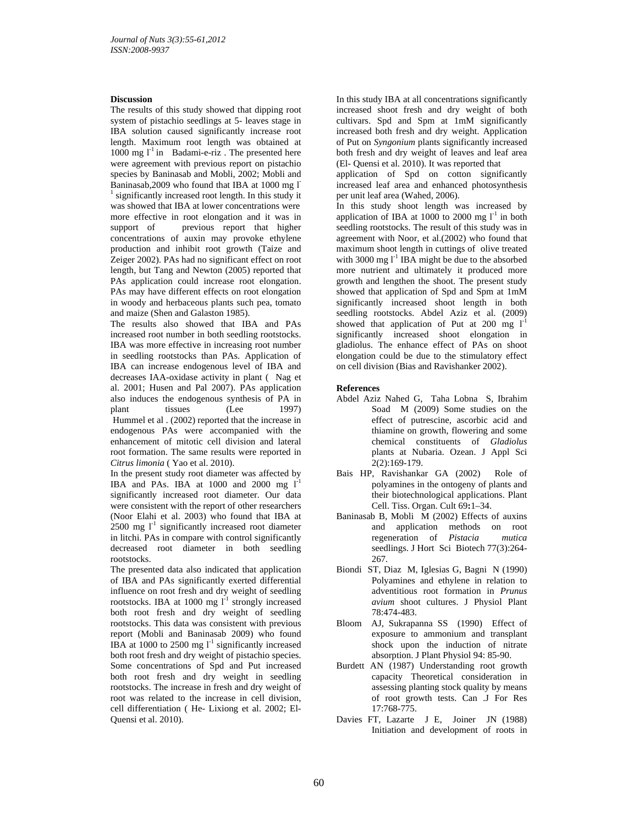## **Discussion**

The results of this study showed that dipping root system of pistachio seedlings at 5- leaves stage in IBA solution caused significantly increase root length. Maximum root length was obtained at 1000 mg  $l^{-1}$  in Badami-e-riz. The presented here were agreement with previous report on pistachio species by Baninasab and Mobli, 2002; Mobli and Baninasab,2009 who found that IBA at 1000 mg l-<sup>1</sup> significantly increased root length. In this study it was showed that IBA at lower concentrations were more effective in root elongation and it was in support of previous report that higher concentrations of auxin may provoke ethylene production and inhibit root growth (Taize and Zeiger 2002). PAs had no significant effect on root length, but Tang and Newton (2005) reported that PAs application could increase root elongation. PAs may have different effects on root elongation in woody and herbaceous plants such pea, tomato and maize (Shen and Galaston 1985).

The results also showed that IBA and PAs increased root number in both seedling rootstocks. IBA was more effective in increasing root number in seedling rootstocks than PAs. Application of IBA can increase endogenous level of IBA and decreases IAA-oxidase activity in plant ( Nag et al. 2001; Husen and Pal 2007). PAs application also induces the endogenous synthesis of PA in plant tissues (Lee 1997) Hummel et al . (2002) reported that the increase in endogenous PAs were accompanied with the enhancement of mitotic cell division and lateral root formation. The same results were reported in *Citrus limonia* ( Yao et al. 2010).

In the present study root diameter was affected by IBA and PAs. IBA at  $1000$  and  $2000$  mg  $l<sup>-1</sup>$ significantly increased root diameter. Our data were consistent with the report of other researchers (Noor Elahi et al. 2003) who found that IBA at 2500 mg  $I^1$  significantly increased root diameter in litchi. PAs in compare with control significantly decreased root diameter in both seedling rootstocks.

The presented data also indicated that application of IBA and PAs significantly exerted differential influence on root fresh and dry weight of seedling rootstocks. IBA at 1000 mg  $l^{-1}$  strongly increased both root fresh and dry weight of seedling rootstocks. This data was consistent with previous report (Mobli and Baninasab 2009) who found IBA at 1000 to 2500 mg  $l^1$  significantly increased both root fresh and dry weight of pistachio species. Some concentrations of Spd and Put increased both root fresh and dry weight in seedling rootstocks. The increase in fresh and dry weight of root was related to the increase in cell division, cell differentiation ( He- Lixiong et al. 2002; El-Quensi et al. 2010).

In this study IBA at all concentrations significantly increased shoot fresh and dry weight of both cultivars. Spd and Spm at 1mM significantly increased both fresh and dry weight. Application of Put on *Syngonium* plants significantly increased both fresh and dry weight of leaves and leaf area (El- Quensi et al. 2010). It was reported that

application of Spd on cotton significantly increased leaf area and enhanced photosynthesis per unit leaf area (Wahed, 2006).

In this study shoot length was increased by application of IBA at 1000 to 2000 mg  $I<sup>-1</sup>$  in both seedling rootstocks. The result of this study was in agreement with Noor, et al.(2002) who found that maximum shoot length in cuttings of olive treated with 3000 mg  $I<sup>-1</sup>$  IBA might be due to the absorbed more nutrient and ultimately it produced more growth and lengthen the shoot. The present study showed that application of Spd and Spm at 1mM significantly increased shoot length in both seedling rootstocks. Abdel Aziz et al. (2009) showed that application of Put at 200 mg  $1<sup>-1</sup>$ significantly increased shoot elongation in gladiolus. The enhance effect of PAs on shoot elongation could be due to the stimulatory effect on cell division (Bias and Ravishanker 2002).

### **References**

- Abdel Aziz Nahed G, Taha Lobna S, Ibrahim Soad M (2009) Some studies on the effect of putrescine, ascorbic acid and thiamine on growth, flowering and some chemical constituents of *Gladiolus* plants at Nubaria. Ozean. J Appl Sci 2(2):169-179.
- Bais HP, Ravishankar GA (2002)Role of polyamines in the ontogeny of plants and their biotechnological applications. Plant Cell. Tiss. Organ. Cult 69**:**1–34.
- Baninasab B, Mobli M (2002) Effects of auxins and application methods on root regeneration of *Pistacia mutica* seedlings. J Hort Sci Biotech 77(3):264- 267*.*
- Biondi ST, Diaz M, Iglesias G, Bagni N (1990) Polyamines and ethylene in relation to adventitious root formation in *Prunus avium* shoot cultures. J Physiol Plant 78:474-483.
- Bloom AJ, Sukrapanna SS (1990) Effect of exposure to ammonium and transplant shock upon the induction of nitrate absorption. J Plant Physiol 94: 85-90.
- Burdett AN (1987) Understanding root growth capacity Theoretical consideration in assessing planting stock quality by means of root growth tests. Can .J For Res 17:768-775.
- Davies FT, Lazarte J E, Joiner JN (1988) Initiation and development of roots in